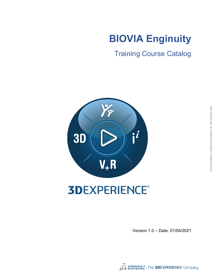# **BIOVIA Enginuity**

Training Course Catalog



# **3DEXPERIENCE®**

Version 1.0 – Date: 01/04/2021

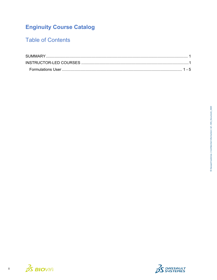# **Enginuity Course Catalog**

# **Table of Contents**



 $\overline{\textbf{H}}$ 

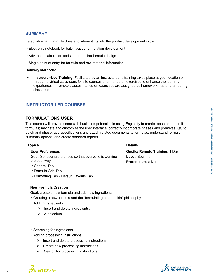# **SUMMARY**

Establish what Enginuity does and where it fits into the product development cycle.

- Electronic notebook for batch-based formulation development
- Advanced calculation tools to streamline formula design
- Single point of entry for formula and raw material information:

#### **Delivery Methods:**

• **Instructor-Led Training**: Facilitated by an instructor, this training takes place at your location or through a virtual classroom. Onsite courses offer hands-on exercises to enhance the learning experience. In remote classes, hands-on exercises are assigned as homework, rather than during class time.

## <span id="page-2-0"></span>**INSTRUCTOR-LED COURSES**

### **FORMULATIONS USER**

This course will provide users with basic competencies in using Enginuity to create, open and submit formulas; navigate and customize the user interface; correctly incorporate phases and premixes; QS to batch and phase; add specifications and attach related documents to formulas; understand formula summary options; and create standard reports.

| <b>Topics</b>                                          | <b>Details</b>                        |
|--------------------------------------------------------|---------------------------------------|
| <b>User Preferences</b>                                | <b>Onsite/ Remote Training: 1 Day</b> |
| Goal: Set user preferences so that everyone is working | Level: Beginner                       |
| the best way.                                          | <b>Prerequisites: None</b>            |
| • General Tab                                          |                                       |
| • Formula Grid Tab                                     |                                       |
| • Formatting Tab • Default Layouts Tab                 |                                       |

#### **New Formula Creation**

Goal: create a new formula and add new ingredients.

- Creating a new formula and the "formulating on a napkin" philosophy
- Adding ingredients:
	- $\triangleright$  Insert and delete ingredients,
	- $\triangleright$  Autolookup
- Searching for ingredients
- Adding processing instructions:
	- $\triangleright$  Insert and delete processing instructions
	- $\triangleright$  Create new processing instructions
	- $\triangleright$  Search for processing instructions



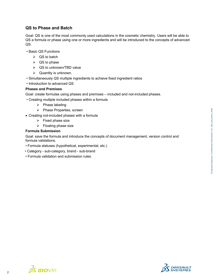# **QS to Phase and Batch**

Goal: QS is one of the most commonly used calculations in the cosmetic chemistry. Users will be able to QS a formula or phase using one or more ingredients and will be introduced to the concepts of advanced QS.

- Basic QS Functions
	- $\triangleright$  QS to batch
	- $\triangleright$  QS to phase
	- $\triangleright$  QS to unknown/TBD value
	- $\triangleright$  Quantity is unknown.
- Simultaneously QS multiple ingredients to achieve fixed ingredient ratios
- Introduction to advanced QS

#### **Phases and Premixes**

Goal: create formulas using phases and premixes – included and not-included phases.

- Creating multiple included phases within a formula
	- $\triangleright$  Phase labeling
	- $\triangleright$  Phase Properties, screen
- Creating not-included phases with a formula
	- $\triangleright$  Fixed phase size
	- $\triangleright$  Floating phase size

#### **Formula Submission**

 $\frac{2}{2}$  BIOVIA

Goal: save the formula and introduce the concepts of document management, version control and formula validations.

- Formula statuses (hypothetical, experimental, etc.)
- Category sub-category, brand sub-brand
- Formula validation and submission rules.



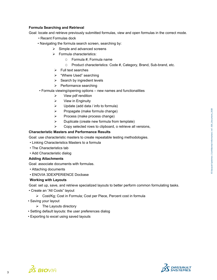### **Formula Searching and Retrieval**

Goal: locate and retrieve previously submitted formulas, view and open formulas in the correct mode.

- Recent Formulas dock
- Navigating the formula search screen, searching by:
	- $\triangleright$  Simple and advanced screens
	- $\triangleright$  Formula characteristics:
		- O Formula #, Formula name
		- O Product characteristics: Code #, Category, Brand, Sub-brand, etc.
	- $\triangleright$  Full text searches
	- > "Where Used" searching
	- $\triangleright$  Search by ingredient levels
	- $\triangleright$  Performance searching
- Formula viewing/opening options new names and functionalities
	- $\triangleright$  View pdf rendition
	- $\triangleright$  View in Enginuity
	- $\triangleright$  Update (add data / info to formula)
	- $\triangleright$  Propagate (make formula change)
	- $\triangleright$  Process (make process change)
	- $\triangleright$  Duplicate (create new formula from template)
	- $\triangleright$  Copy selected rows to clipboard, o retrieve all versions,

#### **Characteristic Masters and Performance Results**

Goal: use characteristic masters to create repeatable testing methodologies.

- Linking Characteristics Masters to a formula
- The Characteristics tab
- Add Characteristic dialog

#### **Adding Attachments**

Goal: associate documents with formulas.

- Attaching documents
- ENOVIA 3DEXPERIENCE Docbase

#### **Working with Layouts**

Goal: set up, save, and retrieve specialized layouts to better perform common formulating tasks.

- Create an "All Costs" layout
	- Cost/Kg; Cost in Formula; Cost per Piece, Percent cost in formula
- Saving your layout
	- $\triangleright$  The Layouts directory
- Setting default layouts: the user preferences dialog
- Exporting to excel using saved layouts



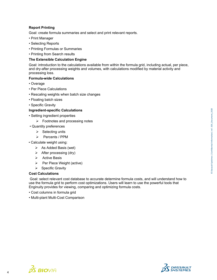## **Report Printing**

Goal: create formula summaries and select and print relevant reports.

- Print Manager
- Selecting Reports
- Printing Formulas or Summaries
- Printing from Search results

#### **The Extensible Calculation Engine**

Goal: introduction to the calculations available from within the formula grid, including actual, per piece, and dry-after processing weights and volumes, with calculations modified by material activity and processing loss.

#### **Formula-wide Calculations**

- Overage
- Per Piece Calculations
- Rescaling weights when batch size changes
- Floating batch sizes
- Specific Gravity

#### **Ingredient-specific Calculations**

- Setting ingredient properties
	- $\triangleright$  Footnotes and processing notes
- Quantity preferences
	- $\triangleright$  Selecting units
	- Percents / PPM
- Calculate weight using:
	- $\triangleright$  As Added Basis (wet)
	- $\triangleright$  After processing (dry)
	- $\triangleright$  Active Basis
	- $\triangleright$  Per Piece Weight (active)
	- $\triangleright$  Specific Gravity

#### **Cost Calculations**

Goal: select relevant cost database to accurate determine formula costs, and will understand how to use the formula grid to perform cost optimizations. Users will learn to use the powerful tools that Enginuity provides for viewing, comparing and optimizing formula costs.

- Cost columns in formula grid
- Multi-plant Multi-Cost Comparison